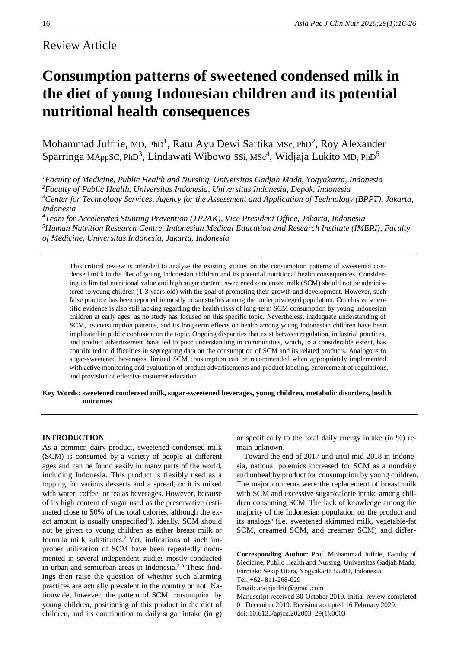# Review Article

# **Consumption patterns of sweetened condensed milk in the diet of young Indonesian children and its potential nutritional health consequences**

Mohammad Juffrie, MD, PhD<sup>1</sup>, Ratu Ayu Dewi Sartika MSc, PhD<sup>2</sup>, Roy Alexander Sparringa MAppSC, PhD<sup>3</sup>, Lindawati Wibowo SSi, MSc<sup>4</sup>, Widjaja Lukito MD, PhD<sup>5</sup>

*<sup>1</sup>Faculty of Medicine, Public Health and Nursing, Universitas Gadjah Mada, Yogyakarta, Indonesia*

*<sup>2</sup>Faculty of Public Health, Universitas Indonesia, Universitas Indonesia, Depok, Indonesia*

*<sup>3</sup>Center for Technology Services, Agency for the Assessment and Application of Technology (BPPT), Jakarta, Indonesia*

*<sup>4</sup>Team for Accelerated Stunting Prevention (TP2AK), Vice President Office, Jakarta, Indonesia <sup>5</sup>Human Nutrition Research Centre, Indonesian Medical Education and Research Institute (IMERI), Faculty of Medicine, Universitas Indonesia, Jakarta, Indonesia*

This critical review is intended to analyse the existing studies on the consumption patterns of sweetened condensed milk in the diet of young Indonesian children and its potential nutritional health consequences. Considering its limited nutritional value and high sugar content, sweetened condensed milk (SCM) should not be administered to young children (1-3 years old) with the goal of promoting their growth and development. However, such false practice has been reported in mostly urban studies among the underprivileged population. Conclusive scientific evidence is also still lacking regarding the health risks of long-term SCM consumption by young Indonesian children at early ages, as no study has focused on this specific topic. Nevertheless, inadequate understanding of SCM, its consumption patterns, and its long-term effects on health among young Indonesian children have been implicated in public confusion on the topic. Ongoing disparities that exist between regulation, industrial practices, and product advertisement have led to poor understanding in communities, which, to a considerable extent, has contributed to difficulties in segregating data on the consumption of SCM and its related products. Analogous to sugar-sweetened beverages, limited SCM consumption can be recommended when appropriately implemented with active monitoring and evaluation of product advertisements and product labeling, enforcement of regulations, and provision of effective customer education.

## **Key Words: sweetened condensed milk, sugar-sweetened beverages, young children, metabolic disorders, health outcomes**

# **INTRODUCTION**

As a common dairy product, sweetened condensed milk (SCM) is consumed by a variety of people at different ages and can be found easily in many parts of the world, including Indonesia. This product is flexibly used as a topping for various desserts and a spread, or it is mixed with water, coffee, or tea as beverages. However, because of its high content of sugar used as the preservative (estimated close to 50% of the total calories, although the exact amount is usually unspecified<sup>1</sup>), ideally, SCM should not be given to young children as either breast milk or formula milk substitutes.2 Yet, indications of such improper utilization of SCM have been repeatedly documented in several independent studies mostly conducted in urban and semiurban areas in Indonesia.<sup>3-5</sup> These findings then raise the question of whether such alarming practices are actually prevalent in the country or not. Nationwide, however, the pattern of SCM consumption by young children, positioning of this product in the diet of children, and its contribution to daily sugar intake (in g)

or specifically to the total daily energy intake (in %) remain unknown.

Toward the end of 2017 and until mid-2018 in Indonesia, national polemics increased for SCM as a nondairy and unhealthy product for consumption by young children. The major concerns were the replacement of breast milk with SCM and excessive sugar/calorie intake among children consuming SCM. The lack of knowledge among the majority of the Indonesian population on the product and its analogs<sup>6</sup> (i.e, sweetened skimmed milk, vegetable-fat SCM, creamed SCM, and creamer SCM) and differ-

**Corresponding Author:** Prof. Mohammad Juffrie, Faculty of Medicine, Public Health and Nursing, Universitas Gadjah Mada, Farmako Sekip Utara, Yogyakarta 55281, Indonesia.

Email: arsipjuffrie@gmail.com

Tel: +62- 811-268-029

Manuscript received 30 October 2019. Initial review completed 01 December 2019. Revision accepted 16 February 2020. doi: 10.6133/apjcn.202003\_29(1).0003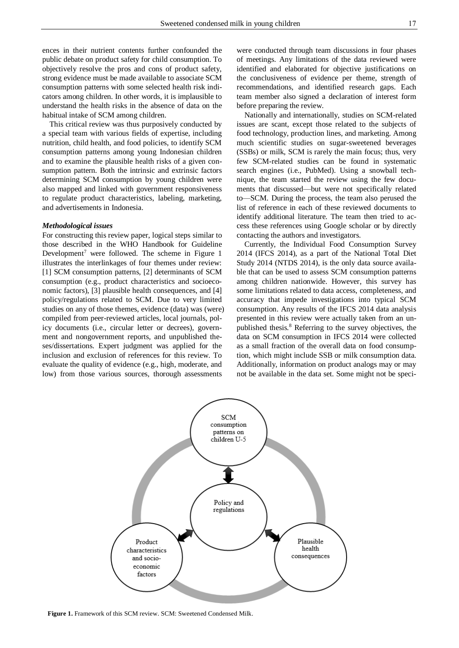ences in their nutrient contents further confounded the public debate on product safety for child consumption. To objectively resolve the pros and cons of product safety, strong evidence must be made available to associate SCM consumption patterns with some selected health risk indicators among children. In other words, it is implausible to understand the health risks in the absence of data on the habitual intake of SCM among children.

This critical review was thus purposively conducted by a special team with various fields of expertise, including nutrition, child health, and food policies, to identify SCM consumption patterns among young Indonesian children and to examine the plausible health risks of a given consumption pattern. Both the intrinsic and extrinsic factors determining SCM consumption by young children were also mapped and linked with government responsiveness to regulate product characteristics, labeling, marketing, and advertisements in Indonesia.

#### *Methodological issues*

For constructing this review paper, logical steps similar to those described in the WHO Handbook for Guideline Development<sup>7</sup> were followed. The scheme in Figure 1 illustrates the interlinkages of four themes under review: [1] SCM consumption patterns, [2] determinants of SCM consumption (e.g., product characteristics and socioeconomic factors), [3] plausible health consequences, and [4] policy/regulations related to SCM. Due to very limited studies on any of those themes, evidence (data) was (were) compiled from peer-reviewed articles, local journals, policy documents (i.e., circular letter or decrees), government and nongovernment reports, and unpublished theses/dissertations. Expert judgment was applied for the inclusion and exclusion of references for this review. To evaluate the quality of evidence (e.g., high, moderate, and low) from those various sources, thorough assessments

were conducted through team discussions in four phases of meetings. Any limitations of the data reviewed were identified and elaborated for objective justifications on the conclusiveness of evidence per theme, strength of recommendations, and identified research gaps. Each team member also signed a declaration of interest form before preparing the review.

Nationally and internationally, studies on SCM-related issues are scant, except those related to the subjects of food technology, production lines, and marketing. Among much scientific studies on sugar-sweetened beverages (SSBs) or milk, SCM is rarely the main focus; thus, very few SCM-related studies can be found in systematic search engines (i.e., PubMed). Using a snowball technique, the team started the review using the few documents that discussed—but were not specifically related to—SCM. During the process, the team also perused the list of reference in each of these reviewed documents to identify additional literature. The team then tried to access these references using Google scholar or by directly contacting the authors and investigators.

Currently, the Individual Food Consumption Survey 2014 (IFCS 2014), as a part of the National Total Diet Study 2014 (NTDS 2014), is the only data source available that can be used to assess SCM consumption patterns among children nationwide. However, this survey has some limitations related to data access, completeness, and accuracy that impede investigations into typical SCM consumption. Any results of the IFCS 2014 data analysis presented in this review were actually taken from an unpublished thesis.<sup>8</sup> Referring to the survey objectives, the data on SCM consumption in IFCS 2014 were collected as a small fraction of the overall data on food consumption, which might include SSB or milk consumption data. Additionally, information on product analogs may or may not be available in the data set. Some might not be speci-



**Figure 1.** Framework of this SCM review. SCM: Sweetened Condensed Milk.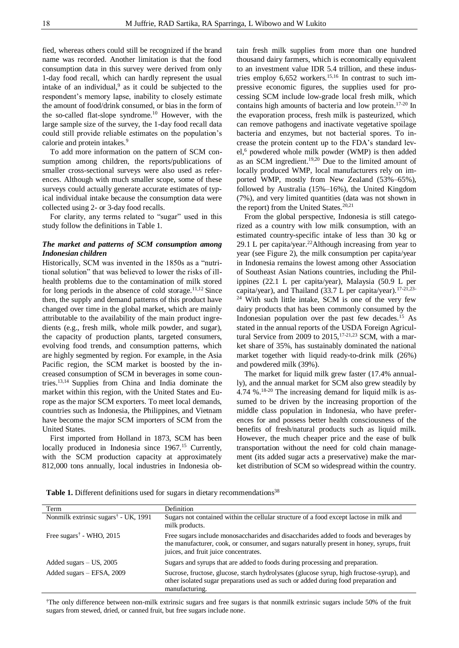fied, whereas others could still be recognized if the brand name was recorded. Another limitation is that the food consumption data in this survey were derived from only 1-day food recall, which can hardly represent the usual intake of an individual, $9$  as it could be subjected to the respondent's memory lapse, inability to closely estimate the amount of food/drink consumed, or bias in the form of the so-called flat-slope syndrome.<sup>10</sup> However, with the large sample size of the survey, the 1-day food recall data could still provide reliable estimates on the population's calorie and protein intakes.<sup>9</sup>

To add more information on the pattern of SCM consumption among children, the reports/publications of smaller cross-sectional surveys were also used as references. Although with much smaller scope, some of these surveys could actually generate accurate estimates of typical individual intake because the consumption data were collected using 2- or 3-day food recalls.

For clarity, any terms related to "sugar" used in this study follow the definitions in Table 1.

## *The market and patterns of SCM consumption among Indonesian children*

Historically, SCM was invented in the 1850s as a "nutritional solution" that was believed to lower the risks of illhealth problems due to the contamination of milk stored for long periods in the absence of cold storage. $11,12$  Since then, the supply and demand patterns of this product have changed over time in the global market, which are mainly attributable to the availability of the main product ingredients (e.g., fresh milk, whole milk powder, and sugar), the capacity of production plants, targeted consumers, evolving food trends, and consumption patterns, which are highly segmented by region. For example, in the Asia Pacific region, the SCM market is boosted by the increased consumption of SCM in beverages in some countries.13,14 Supplies from China and India dominate the market within this region, with the United States and Europe as the major SCM exporters. To meet local demands, countries such as Indonesia, the Philippines, and Vietnam have become the major SCM importers of SCM from the United States.

First imported from Holland in 1873, SCM has been locally produced in Indonesia since 1967.<sup>15</sup> Currently, with the SCM production capacity at approximately 812,000 tons annually, local industries in Indonesia obtain fresh milk supplies from more than one hundred thousand dairy farmers, which is economically equivalent to an investment value IDR 5.4 trillion, and these industries employ 6,652 workers.<sup>15,16</sup> In contrast to such impressive economic figures, the supplies used for processing SCM include low-grade local fresh milk, which contains high amounts of bacteria and low protein.17-20 In the evaporation process, fresh milk is pasteurized, which can remove pathogens and inactivate vegetative spoilage bacteria and enzymes, but not bacterial spores. To increase the protein content up to the FDA's standard level,<sup>6</sup> powdered whole milk powder (WMP) is then added as an SCM ingredient.<sup>19,20</sup> Due to the limited amount of locally produced WMP, local manufacturers rely on imported WMP, mostly from New Zealand (53%–65%), followed by Australia (15%–16%), the United Kingdom (7%), and very limited quantities (data was not shown in the report) from the United States.<sup>20,21</sup>

From the global perspective, Indonesia is still categorized as a country with low milk consumption, with an estimated country-specific intake of less than 30 kg or 29.1 L per capita/year.<sup>22</sup>Although increasing from year to year (see Figure 2), the milk consumption per capita/year in Indonesia remains the lowest among other Association of Southeast Asian Nations countries, including the Philippines (22.1 L per capita/year), Malaysia (50.9 L per capita/year), and Thailand (33.7 L per capita/year).<sup>17-21,23-</sup> <sup>24</sup> With such little intake, SCM is one of the very few dairy products that has been commonly consumed by the Indonesian population over the past few decades.<sup>15</sup> As stated in the annual reports of the USDA Foreign Agricultural Service from 2009 to 2015,<sup>17-21,23</sup> SCM, with a market share of 35%, has sustainably dominated the national market together with liquid ready-to-drink milk (26%) and powdered milk (39%).

The market for liquid milk grew faster (17.4% annually), and the annual market for SCM also grew steadily by 4.74 %.18-20 The increasing demand for liquid milk is assumed to be driven by the increasing proportion of the middle class population in Indonesia, who have preferences for and possess better health consciousness of the benefits of fresh/natural products such as liquid milk. However, the much cheaper price and the ease of bulk transportation without the need for cold chain management (its added sugar acts a preservative) make the market distribution of SCM so widespread within the country.

Table 1. Different definitions used for sugars in dietary recommendations<sup>38</sup>

| Term                                                    | Definition                                                                                                                                                                                                                  |
|---------------------------------------------------------|-----------------------------------------------------------------------------------------------------------------------------------------------------------------------------------------------------------------------------|
| Nonmilk extrinsic sugars <sup>†</sup> - UK, 1991        | Sugars not contained within the cellular structure of a food except lactose in milk and<br>milk products.                                                                                                                   |
| Free sugars <sup><math>\dagger</math></sup> - WHO, 2015 | Free sugars include monosaccharides and disaccharides added to foods and beverages by<br>the manufacturer, cook, or consumer, and sugars naturally present in honey, syrups, fruit<br>juices, and fruit juice concentrates. |
| Added sugars $-$ US, 2005                               | Sugars and syrups that are added to foods during processing and preparation.                                                                                                                                                |
| Added sugars - EFSA, 2009                               | Sucrose, fructose, glucose, starch hydrolysates (glucose syrup, high fructose-syrup), and<br>other isolated sugar preparations used as such or added during food preparation and<br>manufacturing.                          |

†The only difference between non-milk extrinsic sugars and free sugars is that nonmilk extrinsic sugars include 50% of the fruit sugars from stewed, dried, or canned fruit, but free sugars include none.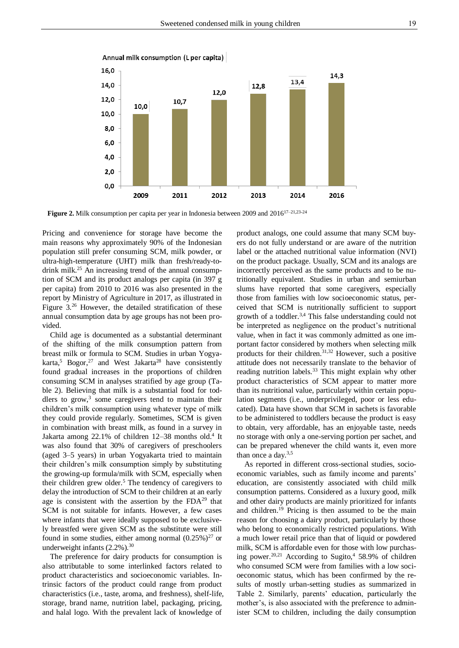

Annual milk consumption (L per capita)

Figure 2. Milk consumption per capita per year in Indonesia between 2009 and 2016<sup>17-21,23-24</sup>

Pricing and convenience for storage have become the main reasons why approximately 90% of the Indonesian population still prefer consuming SCM, milk powder, or ultra-high-temperature (UHT) milk than fresh/ready-todrink milk.<sup>25</sup> An increasing trend of the annual consumption of SCM and its product analogs per capita (in 397 g per capita) from 2010 to 2016 was also presented in the report by Ministry of Agriculture in 2017, as illustrated in Figure 3.<sup>26</sup> However, the detailed stratification of these annual consumption data by age groups has not been provided.

Child age is documented as a substantial determinant of the shifting of the milk consumption pattern from breast milk or formula to SCM. Studies in urban Yogyakarta,<sup>5</sup> Bogor,<sup>27</sup> and West Jakarta<sup>28</sup> have consistently found gradual increases in the proportions of children consuming SCM in analyses stratified by age group (Table 2). Believing that milk is a substantial food for toddlers to grow, $3$  some caregivers tend to maintain their children's milk consumption using whatever type of milk they could provide regularly. Sometimes, SCM is given in combination with breast milk, as found in a survey in Jakarta among 22.1% of children 12-38 months old.<sup>4</sup> It was also found that 30% of caregivers of preschoolers (aged 3–5 years) in urban Yogyakarta tried to maintain their children's milk consumption simply by substituting the growing-up formula/milk with SCM, especially when their children grew older.<sup>5</sup> The tendency of caregivers to delay the introduction of SCM to their children at an early age is consistent with the assertion by the  $FDA<sup>29</sup>$  that SCM is not suitable for infants. However, a few cases where infants that were ideally supposed to be exclusively breastfed were given SCM as the substitute were still found in some studies, either among normal  $(0.25\%)^{27}$  or underweight infants (2.2%).<sup>30</sup>

The preference for dairy products for consumption is also attributable to some interlinked factors related to product characteristics and socioeconomic variables. Intrinsic factors of the product could range from product characteristics (i.e., taste, aroma, and freshness), shelf-life, storage, brand name, nutrition label, packaging, pricing, and halal logo. With the prevalent lack of knowledge of

product analogs, one could assume that many SCM buyers do not fully understand or are aware of the nutrition label or the attached nutritional value information (NVI) on the product package. Usually, SCM and its analogs are incorrectly perceived as the same products and to be nutritionally equivalent. Studies in urban and semiurban slums have reported that some caregivers, especially those from families with low socioeconomic status, perceived that SCM is nutritionally sufficient to support growth of a toddler.3,4 This false understanding could not be interpreted as negligence on the product's nutritional value, when in fact it was commonly admitted as one important factor considered by mothers when selecting milk products for their children.31,32 However, such a positive attitude does not necessarily translate to the behavior of reading nutrition labels.<sup>33</sup> This might explain why other product characteristics of SCM appear to matter more than its nutritional value, particularly within certain population segments (i.e., underprivileged, poor or less educated). Data have shown that SCM in sachets is favorable to be administered to toddlers because the product is easy to obtain, very affordable, has an enjoyable taste, needs no storage with only a one-serving portion per sachet, and can be prepared whenever the child wants it, even more than once a day. $3,5$ 

As reported in different cross-sectional studies, socioeconomic variables, such as family income and parents' education, are consistently associated with child milk consumption patterns. Considered as a luxury good, milk and other dairy products are mainly prioritized for infants and children.<sup>19</sup> Pricing is then assumed to be the main reason for choosing a dairy product, particularly by those who belong to economically restricted populations. With a much lower retail price than that of liquid or powdered milk, SCM is affordable even for those with low purchasing power.<sup>20,21</sup> According to Sugito,<sup>4</sup> 58.9% of children who consumed SCM were from families with a low socioeconomic status, which has been confirmed by the results of mostly urban-setting studies as summarized in Table 2. Similarly, parents' education, particularly the mother's, is also associated with the preference to administer SCM to children, including the daily consumption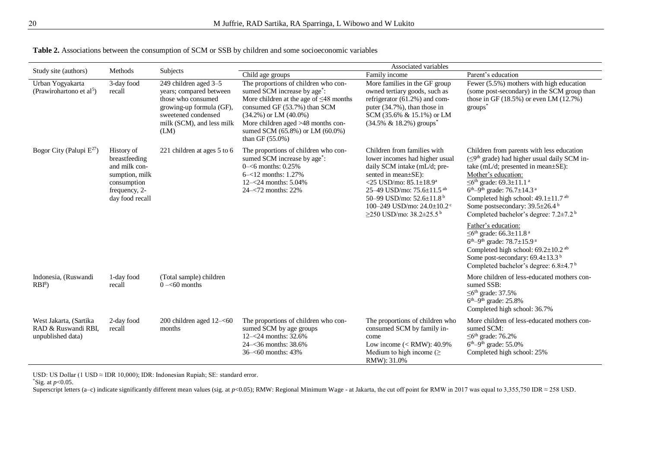|                                                                    |                                                                                                                   |                                                                                                                                                                | Associated variables                                                                                                                                                                                                                                                                           |                                                                                                                                                                                                                                                                                                                                 |                                                                                                                                                                                                                                                                                                                                                                                                                                              |  |  |  |  |  |  |
|--------------------------------------------------------------------|-------------------------------------------------------------------------------------------------------------------|----------------------------------------------------------------------------------------------------------------------------------------------------------------|------------------------------------------------------------------------------------------------------------------------------------------------------------------------------------------------------------------------------------------------------------------------------------------------|---------------------------------------------------------------------------------------------------------------------------------------------------------------------------------------------------------------------------------------------------------------------------------------------------------------------------------|----------------------------------------------------------------------------------------------------------------------------------------------------------------------------------------------------------------------------------------------------------------------------------------------------------------------------------------------------------------------------------------------------------------------------------------------|--|--|--|--|--|--|
| Study site (authors)                                               | Methods                                                                                                           | Subjects                                                                                                                                                       | Child age groups                                                                                                                                                                                                                                                                               | Family income                                                                                                                                                                                                                                                                                                                   | Parent's education                                                                                                                                                                                                                                                                                                                                                                                                                           |  |  |  |  |  |  |
| Urban Yogyakarta<br>(Prawirohartono et al <sup>5</sup> )           | 3-day food<br>recall                                                                                              | 249 children aged 3-5<br>years; compared between<br>those who consumed<br>growing-up formula (GF),<br>sweetened condensed<br>milk (SCM), and less milk<br>(LM) | The proportions of children who con-<br>sumed SCM increase by age <sup>*</sup> :<br>More children at the age of $\leq$ 48 months<br>consumed GF (53.7%) than SCM<br>$(34.2\%)$ or LM $(40.0\%)$<br>More children aged >48 months con-<br>sumed SCM (65.8%) or LM (60.0%)<br>than GF $(55.0\%)$ | More families in the GF group<br>owned tertiary goods, such as<br>refrigerator (61.2%) and com-<br>puter (34.7%), than those in<br>SCM (35.6% & 15.1%) or LM<br>$(34.5\% \& 18.2\%)$ groups <sup>*</sup>                                                                                                                        | Fewer (5.5%) mothers with high education<br>(some post-secondary) in the SCM group than<br>those in GF $(18.5%)$ or even LM $(12.7%)$<br>$groups^*$                                                                                                                                                                                                                                                                                          |  |  |  |  |  |  |
| Bogor City (Palupi $E^{27}$ )                                      | History of<br>breastfeeding<br>and milk con-<br>sumption, milk<br>consumption<br>frequency, 2-<br>day food recall | 221 children at ages 5 to 6                                                                                                                                    | The proportions of children who con-<br>sumed SCM increase by age <sup>*</sup> :<br>$0 - 6$ months: 0.25%<br>$6 - 12$ months: 1.27%<br>$12 - 24$ months: 5.04%<br>$24 - 72$ months: 22%                                                                                                        | Children from families with<br>lower incomes had higher usual<br>daily SCM intake (mL/d; pre-<br>sented in mean±SE):<br><25 USD/mo: $85.1 \pm 18.9^a$<br>25-49 USD/mo: 75.6±11.5 ab<br>50–99 USD/mo: $52.6 \pm 11.8^{\circ}$<br>100-249 USD/mo: $24.0 \pm 10.2$ <sup>c</sup><br>$\geq$ 250 USD/mo: 38.2 $\pm$ 25.5 <sup>b</sup> | Children from parents with less education<br>$(\leq 9^{\text{th}})$ grade) had higher usual daily SCM in-<br>take (mL/d; presented in mean±SE):<br>Mother's education:<br>≤6 <sup>th</sup> grade: 69.3±11.1 <sup>a</sup><br>$6^{th} - 9^{th}$ grade: 76.7 $\pm$ 14.3 <sup>a</sup><br>Completed high school: $49.1 \pm 11.7$ <sup>ab</sup><br>Some postsecondary: 39.5±26.4 <sup>b</sup><br>Completed bachelor's degree: 7.2±7.2 <sup>b</sup> |  |  |  |  |  |  |
|                                                                    |                                                                                                                   |                                                                                                                                                                |                                                                                                                                                                                                                                                                                                |                                                                                                                                                                                                                                                                                                                                 | Father's education:<br>$\leq$ 6 <sup>th</sup> grade: 66.3±11.8 <sup>a</sup><br>$6^{th} - 9^{th}$ grade: 78.7 $\pm$ 15.9 <sup>a</sup><br>Completed high school: $69.2 \pm 10.2$ <sup>ab</sup><br>Some post-secondary: 69.4±13.3 <sup>b</sup><br>Completed bachelor's degree: 6.8±4.7 <sup>b</sup>                                                                                                                                             |  |  |  |  |  |  |
| Indonesia, (Ruswandi<br>$RBI^8$                                    | 1-day food<br>recall                                                                                              | (Total sample) children<br>$0 - 60$ months                                                                                                                     |                                                                                                                                                                                                                                                                                                |                                                                                                                                                                                                                                                                                                                                 | More children of less-educated mothers con-<br>sumed SSB:<br>$\leq$ 6 <sup>th</sup> grade: 37.5%<br>$6th-9th$ grade: 25.8%<br>Completed high school: 36.7%                                                                                                                                                                                                                                                                                   |  |  |  |  |  |  |
| West Jakarta, (Sartika<br>RAD & Ruswandi RBI,<br>unpublished data) | 2-day food<br>recall                                                                                              | 200 children aged $12-<60$<br>months                                                                                                                           | The proportions of children who con-<br>sumed SCM by age groups<br>$12 - 24$ months: 32.6%<br>24 -< 36 months: 38.6%<br>36-<60 months: 43%                                                                                                                                                     | The proportions of children who<br>consumed SCM by family in-<br>come<br>Low income $(<$ RMW): 40.9%<br>Medium to high income $(\geq$<br>RMW: 31.0%                                                                                                                                                                             | More children of less-educated mothers con-<br>sumed SCM:<br>$\leq$ 6 <sup>th</sup> grade: 76.2%<br>$6th-9th$ grade: 55.0%<br>Completed high school: 25%                                                                                                                                                                                                                                                                                     |  |  |  |  |  |  |

**Table 2.** Associations between the consumption of SCM or SSB by children and some socioeconomic variables

USD: US Dollar (1 USD  $\approx$  IDR 10,000); IDR: Indonesian Rupiah; SE: standard error.

\*Sig. at *p*<0.05.

Superscript letters (a–c) indicate significantly different mean values (sig. at *p*<0.05); RMW: Regional Minimum Wage - at Jakarta, the cut off point for RMW in 2017 was equal to 3,355,750 IDR ≈ 258 USD.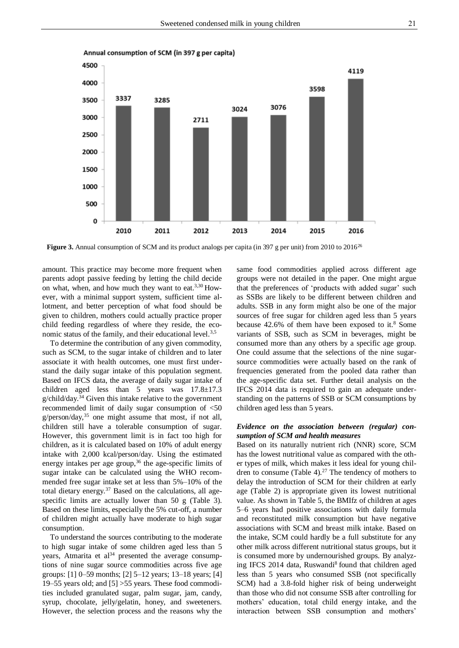

Annual consumption of SCM (in 397 g per capita)

Figure 3. Annual consumption of SCM and its product analogs per capita (in 397 g per unit) from 2010 to 2016<sup>26</sup>

amount. This practice may become more frequent when parents adopt passive feeding by letting the child decide on what, when, and how much they want to eat. $3,30$  However, with a minimal support system, sufficient time allotment, and better perception of what food should be given to children, mothers could actually practice proper child feeding regardless of where they reside, the economic status of the family, and their educational level.<sup>3,5</sup>

To determine the contribution of any given commodity, such as SCM, to the sugar intake of children and to later associate it with health outcomes, one must first understand the daily sugar intake of this population segment. Based on IFCS data, the average of daily sugar intake of children aged less than 5 years was 17.8±17.3 g/child/day.<sup>34</sup> Given this intake relative to the government recommended limit of daily sugar consumption of <50  $g/person/day,$ <sup>35</sup> one might assume that most, if not all, children still have a tolerable consumption of sugar. However, this government limit is in fact too high for children, as it is calculated based on 10% of adult energy intake with 2,000 kcal/person/day. Using the estimated energy intakes per age group,  $36$  the age-specific limits of sugar intake can be calculated using the WHO recommended free sugar intake set at less than 5%–10% of the total dietary energy.<sup>37</sup> Based on the calculations, all agespecific limits are actually lower than 50 g (Table 3). Based on these limits, especially the 5% cut-off, a number of children might actually have moderate to high sugar consumption.

To understand the sources contributing to the moderate to high sugar intake of some children aged less than 5 years, Atmarita et al<sup>34</sup> presented the average consumptions of nine sugar source commodities across five age groups: [1] 0–59 months; [2] 5–12 years; 13–18 years; [4] 19–55 years old; and [5] >55 years. These food commodities included granulated sugar, palm sugar, jam, candy, syrup, chocolate, jelly/gelatin, honey, and sweeteners. However, the selection process and the reasons why the

same food commodities applied across different age groups were not detailed in the paper. One might argue that the preferences of 'products with added sugar' such as SSBs are likely to be different between children and adults. SSB in any form might also be one of the major sources of free sugar for children aged less than 5 years because 42.6% of them have been exposed to it.<sup>8</sup> Some variants of SSB, such as SCM in beverages, might be consumed more than any others by a specific age group. One could assume that the selections of the nine sugarsource commodities were actually based on the rank of frequencies generated from the pooled data rather than the age-specific data set. Further detail analysis on the IFCS 2014 data is required to gain an adequate understanding on the patterns of SSB or SCM consumptions by children aged less than 5 years.

## *Evidence on the association between (regular) consumption of SCM and health measures*

Based on its naturally nutrient rich (NNR) score, SCM has the lowest nutritional value as compared with the other types of milk, which makes it less ideal for young children to consume (Table 4).<sup>27</sup> The tendency of mothers to delay the introduction of SCM for their children at early age (Table 2) is appropriate given its lowest nutritional value. As shown in Table 5, the BMIfz of children at ages 5–6 years had positive associations with daily formula and reconstituted milk consumption but have negative associations with SCM and breast milk intake. Based on the intake, SCM could hardly be a full substitute for any other milk across different nutritional status groups, but it is consumed more by undernourished groups. By analyzing IFCS 2014 data, Ruswandi<sup>8</sup> found that children aged less than 5 years who consumed SSB (not specifically SCM) had a 3.8-fold higher risk of being underweight than those who did not consume SSB after controlling for mothers' education, total child energy intake, and the interaction between SSB consumption and mothers'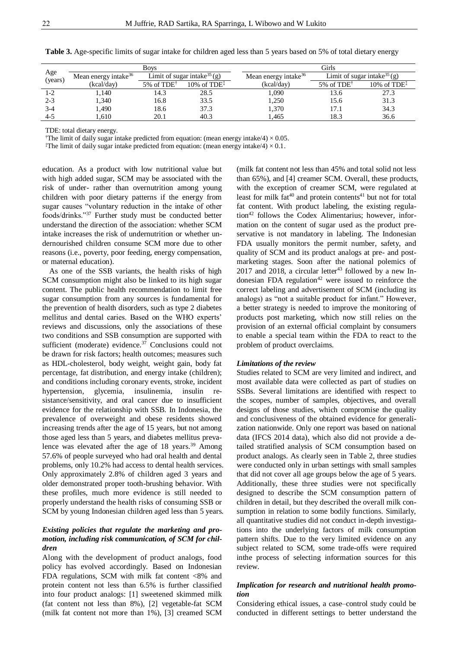|                |                                  | <b>Boys</b>               |                                           | Girls                            |                                           |                |  |  |  |  |
|----------------|----------------------------------|---------------------------|-------------------------------------------|----------------------------------|-------------------------------------------|----------------|--|--|--|--|
| Age<br>(years) | Mean energy intake <sup>36</sup> |                           | Limit of sugar intake <sup>35</sup> $(g)$ | Mean energy intake <sup>36</sup> | Limit of sugar intake <sup>35</sup> $(g)$ |                |  |  |  |  |
|                | (kcal/day)                       | $5\%$ of TDE <sup>†</sup> | 10\% of $TDE^{\ddagger}$                  | (kcal/day)                       | 5% of $TDE^{\dagger}$                     | $10\%$ of TDE‡ |  |  |  |  |
| 1-2            | 1.140                            | 14.3                      | 28.5                                      | 1,090                            | 13.6                                      | 27.3           |  |  |  |  |
| $2 - 3$        | 1,340                            | 16.8                      | 33.5                                      | 1,250                            | 15.6                                      | 31.3           |  |  |  |  |
| $3-4$          | l,490                            | 18.6                      | 37.3                                      | 1,370                            | 17.1                                      | 34.3           |  |  |  |  |
| $4 - 5$        | .610                             | 20.1                      | 40.3                                      | 1.465                            | 18.3                                      | 36.6           |  |  |  |  |

**Table 3.** Age-specific limits of sugar intake for children aged less than 5 years based on 5% of total dietary energy

TDE: total dietary energy.

<sup>†</sup>The limit of daily sugar intake predicted from equation: (mean energy intake/4)  $\times$  0.05.

<sup>‡</sup>The limit of daily sugar intake predicted from equation: (mean energy intake/4)  $\times$  0.1.

education. As a product with low nutritional value but with high added sugar, SCM may be associated with the risk of under- rather than overnutrition among young children with poor dietary patterns if the energy from sugar causes "voluntary reduction in the intake of other foods/drinks."<sup>37</sup> Further study must be conducted better understand the direction of the association: whether SCM intake increases the risk of undernutrition or whether undernourished children consume SCM more due to other reasons (i.e., poverty, poor feeding, energy compensation, or maternal education).

As one of the SSB variants, the health risks of high SCM consumption might also be linked to its high sugar content. The public health recommendation to limit free sugar consumption from any sources is fundamental for the prevention of health disorders, such as type 2 diabetes mellitus and dental caries. Based on the WHO experts' reviews and discussions, only the associations of these two conditions and SSB consumption are supported with sufficient (moderate) evidence. $37$  Conclusions could not be drawn for risk factors; health outcomes; measures such as HDL-cholesterol, body weight, weight gain, body fat percentage, fat distribution, and energy intake (children); and conditions including coronary events, stroke, incident hypertension, glycemia, insulinemia, insulin resistance/sensitivity, and oral cancer due to insufficient evidence for the relationship with SSB. In Indonesia, the prevalence of overweight and obese residents showed increasing trends after the age of 15 years, but not among those aged less than 5 years, and diabetes mellitus prevalence was elevated after the age of  $18$  years.<sup>39</sup> Among 57.6% of people surveyed who had oral health and dental problems, only 10.2% had access to dental health services. Only approximately 2.8% of children aged 3 years and older demonstrated proper tooth-brushing behavior. With these profiles, much more evidence is still needed to properly understand the health risks of consuming SSB or SCM by young Indonesian children aged less than 5 years.

# *Existing policies that regulate the marketing and promotion, including risk communication, of SCM for children*

Along with the development of product analogs, food policy has evolved accordingly. Based on Indonesian FDA regulations, SCM with milk fat content <8% and protein content not less than 6.5% is further classified into four product analogs: [1] sweetened skimmed milk (fat content not less than 8%), [2] vegetable-fat SCM (milk fat content not more than 1%), [3] creamed SCM (milk fat content not less than 45% and total solid not less than 65%), and [4] creamer SCM. Overall, these products, with the exception of creamer SCM, were regulated at least for milk  $fat^{40}$  and protein contents<sup>41</sup> but not for total fat content. With product labeling, the existing regulation<sup>42</sup> follows the Codex Alimentarius; however, information on the content of sugar used as the product preservative is not mandatory in labeling. The Indonesian FDA usually monitors the permit number, safety, and quality of SCM and its product analogs at pre- and postmarketing stages. Soon after the national polemics of 2017 and 2018, a circular letter<sup>43</sup> followed by a new Indonesian FDA regulation<sup>42</sup> were issued to reinforce the correct labeling and advertisement of SCM (including its analogs) as "not a suitable product for infant." However, a better strategy is needed to improve the monitoring of products post marketing, which now still relies on the provision of an external official complaint by consumers to enable a special team within the FDA to react to the problem of product overclaims.

#### *Limitations of the review*

Studies related to SCM are very limited and indirect, and most available data were collected as part of studies on SSBs. Several limitations are identified with respect to the scopes, number of samples, objectives, and overall designs of those studies, which compromise the quality and conclusiveness of the obtained evidence for generalization nationwide. Only one report was based on national data (IFCS 2014 data), which also did not provide a detailed stratified analysis of SCM consumption based on product analogs. As clearly seen in Table 2, three studies were conducted only in urban settings with small samples that did not cover all age groups below the age of 5 years. Additionally, these three studies were not specifically designed to describe the SCM consumption pattern of children in detail, but they described the overall milk consumption in relation to some bodily functions. Similarly, all quantitative studies did not conduct in-depth investigations into the underlying factors of milk consumption pattern shifts. Due to the very limited evidence on any subject related to SCM, some trade-offs were required inthe process of selecting information sources for this review.

# *Implication for research and nutritional health promotion*

Considering ethical issues, a case–control study could be conducted in different settings to better understand the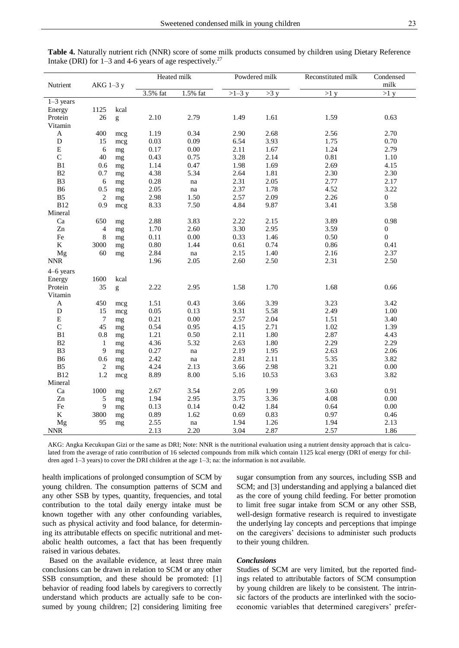| Nutrient                  | AKG 1-3 y      |          | Heated milk |                     | Powdered milk |       | Reconstituted milk | Condensed<br>$\mbox{milk}$ |  |
|---------------------------|----------------|----------|-------------|---------------------|---------------|-------|--------------------|----------------------------|--|
|                           |                |          | 3.5% fat    | 1.5% fat            | $>1-3$ y      | >3 y  | >1 y               | >1 y                       |  |
| $1-3$ years               |                |          |             |                     |               |       |                    |                            |  |
| Energy                    | 1125           | kcal     |             |                     |               |       |                    |                            |  |
| Protein                   | 26             | g        | 2.10        | 2.79                | 1.49          | 1.61  | 1.59               | 0.63                       |  |
| Vitamin                   |                |          |             |                     |               |       |                    |                            |  |
| $\boldsymbol{\mathsf{A}}$ | 400            | mcg      | 1.19        | 0.34                | 2.90          | 2.68  | 2.56               | 2.70                       |  |
| $\mathbf D$               | 15             | mcg      | 0.03        | 0.09                | 6.54          | 3.93  | 1.75               | 0.70                       |  |
| ${\bf E}$                 | 6              | mg       | 0.17        | 0.00                | 2.11          | 1.67  | 1.24               | 2.79                       |  |
| $\mathsf{C}$              | 40             | mg       | 0.43        | 0.75                | 3.28          | 2.14  | 0.81               | 1.10                       |  |
| B1                        | 0.6            | mg       | 1.14        | 0.47                | 1.98          | 1.69  | 2.69               | 4.15                       |  |
| $\mathbf{B}2$             | 0.7            | mg       | 4.38        | 5.34                | 2.64          | 1.81  | 2.30               | 2.30                       |  |
| B <sub>3</sub>            | $\sqrt{6}$     | $\rm mg$ | 0.28        | na                  | 2.31          | 2.05  | 2.77               | 2.17                       |  |
| <b>B6</b>                 | 0.5            | mg       | 2.05        | $\operatorname{na}$ | 2.37          | 1.78  | 4.52               | 3.22                       |  |
| B <sub>5</sub>            | $\overline{c}$ | mg       | 2.98        | 1.50                | 2.57          | 2.09  | 2.26               | $\boldsymbol{0}$           |  |
| <b>B12</b>                | 0.9            | mcg      | 8.33        | 7.50                | 4.84          | 9.87  | 3.41               | 3.58                       |  |
| Mineral                   |                |          |             |                     |               |       |                    |                            |  |
| Ca                        | 650            | mg       | 2.88        | 3.83                | 2.22          | 2.15  | 3.89               | 0.98                       |  |
| Zn                        | 4              | mg       | 1.70        | 2.60                | 3.30          | 2.95  | 3.59               | $\boldsymbol{0}$           |  |
| Fe                        | 8              | mg       | 0.11        | 0.00                | 0.33          | 1.46  | 0.50               | $\boldsymbol{0}$           |  |
| $\rm K$                   | 3000           | mg       | $0.80\,$    | 1.44                | 0.61          | 0.74  | 0.86               | 0.41                       |  |
| Mg                        | 60             | mg       | 2.84        | na                  | 2.15          | 1.40  | 2.16               | 2.37                       |  |
| $\ensuremath{\text{NNR}}$ |                |          | 1.96        | 2.05                | 2.60          | 2.50  | 2.31               | 2.50                       |  |
| $4-6$ years               |                |          |             |                     |               |       |                    |                            |  |
| Energy                    | 1600           | kcal     |             |                     |               |       |                    |                            |  |
| Protein                   | 35             | g        | 2.22        | 2.95                | 1.58          | 1.70  | 1.68               | 0.66                       |  |
| Vitamin                   |                |          |             |                     |               |       |                    |                            |  |
| $\mathbf A$               | 450            | mcg      | 1.51        | 0.43                | 3.66          | 3.39  | 3.23               | 3.42                       |  |
| $\mathbf D$               | 15             | mcg      | 0.05        | 0.13                | 9.31          | 5.58  | 2.49               | 1.00                       |  |
| ${\bf E}$                 | $\tau$         | mg       | 0.21        | 0.00                | 2.57          | 2.04  | 1.51               | 3.40                       |  |
| $\mathsf C$               | 45             | mg       | 0.54        | 0.95                | 4.15          | 2.71  | 1.02               | 1.39                       |  |
| B1                        | 0.8            | mg       | 1.21        | 0.50                | 2.11          | 1.80  | 2.87               | 4.43                       |  |
| B2                        | $\mathbf{1}$   | mg       | 4.36        | 5.32                | 2.63          | 1.80  | 2.29               | 2.29                       |  |
| B <sub>3</sub>            | 9              | mg       | 0.27        | na                  | 2.19          | 1.95  | 2.63               | 2.06                       |  |
| <b>B6</b>                 | 0.6            | mg       | 2.42        | na                  | 2.81          | 2.11  | 5.35               | 3.82                       |  |
| B <sub>5</sub>            | $\sqrt{2}$     | mg       | 4.24        | 2.13                | 3.66          | 2.98  | 3.21               | $0.00\,$                   |  |
| <b>B12</b>                | 1.2            | mcg      | 8.89        | 8.00                | 5.16          | 10.53 | 3.63               | 3.82                       |  |
| Mineral                   |                |          |             |                     |               |       |                    |                            |  |
| Ca                        | 1000           | mg       | 2.67        | 3.54                | 2.05          | 1.99  | 3.60               | 0.91                       |  |
| Zn                        | 5              | mg       | 1.94        | 2.95                | 3.75          | 3.36  | 4.08               | $0.00\,$                   |  |
| Fe                        | 9              | mg       | 0.13        | 0.14                | 0.42          | 1.84  | 0.64               | 0.00                       |  |
| $\bf K$                   | 3800           | mg       | 0.89        | 1.62                | 0.69          | 0.83  | 0.97               | 0.46                       |  |
| Mg                        | 95             | mg       | 2.55        | $\operatorname{na}$ | 1.94          | 1.26  | 1.94               | 2.13                       |  |
| <b>NNR</b>                |                |          | 2.13        | 2.20                | 3.04          | 2.87  | 2.57               | 1.86                       |  |

**Table 4.** Naturally nutrient rich (NNR) score of some milk products consumed by children using Dietary Reference Intake (DRI) for  $1-3$  and  $4-6$  years of age respectively.<sup>27</sup>

AKG: Angka Kecukupan Gizi or the same as DRI; Note: NNR is the nutritional evaluation using a nutrient density approach that is calculated from the average of ratio contribution of 16 selected compounds from milk which contain 1125 kcal energy (DRI of energy for children aged 1–3 years) to cover the DRI children at the age 1–3; na: the information is not available.

health implications of prolonged consumption of SCM by young children. The consumption patterns of SCM and any other SSB by types, quantity, frequencies, and total contribution to the total daily energy intake must be known together with any other confounding variables, such as physical activity and food balance, for determining its attributable effects on specific nutritional and metabolic health outcomes, a fact that has been frequently raised in various debates.

Based on the available evidence, at least three main conclusions can be drawn in relation to SCM or any other SSB consumption, and these should be promoted: [1] behavior of reading food labels by caregivers to correctly understand which products are actually safe to be consumed by young children; [2] considering limiting free

sugar consumption from any sources, including SSB and SCM; and [3] understanding and applying a balanced diet as the core of young child feeding. For better promotion to limit free sugar intake from SCM or any other SSB, well-design formative research is required to investigate the underlying lay concepts and perceptions that impinge on the caregivers' decisions to administer such products to their young children.

#### *Conclusions*

Studies of SCM are very limited, but the reported findings related to attributable factors of SCM consumption by young children are likely to be consistent. The intrinsic factors of the products are interlinked with the socioeconomic variables that determined caregivers' prefer-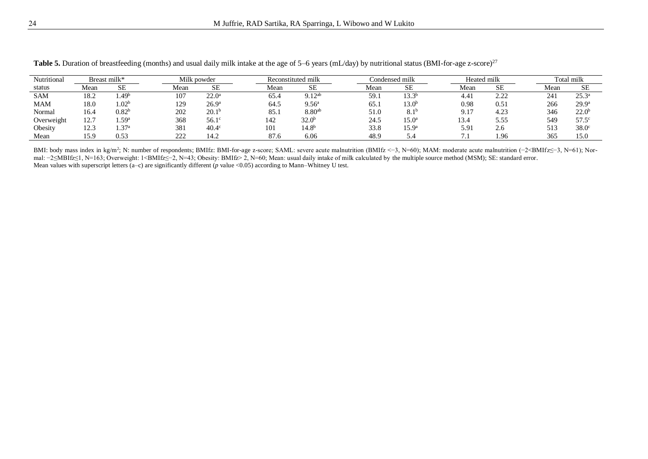| Nutritional |                       | Breast milk*      | Milk powder |                   | Reconstituted milk |      | Condensed milk               |      | Heated milk          |  | Total milk                     |              |      |                   |
|-------------|-----------------------|-------------------|-------------|-------------------|--------------------|------|------------------------------|------|----------------------|--|--------------------------------|--------------|------|-------------------|
| status      | Mean                  | SЕ                | Mean        | <b>SE</b>         |                    | Mean | <b>SE</b>                    | Mean | SE                   |  | Mean                           | <b>SE</b>    | Mean | <b>SE</b>         |
| <b>SAM</b>  | 18.2                  | $4.49^b$          | 107         | $22.0^{\circ}$    |                    | 65.4 | $Q_1$ 1 $2ab$<br><b>J.⊥∠</b> | 59.1 | 13.3                 |  | 4.4.                           | າ າາ<br>2.LL | 241  | $25.3^{\circ}$    |
| MAM         | 18.0                  | 1.02 <sup>b</sup> | 170<br>ェムフ  | 26.9 <sup>a</sup> |                    | 64.5 | 9.56 <sup>a</sup>            | 65.  | 13.0 <sup>b</sup>    |  | 0.98                           | 0.51         | 266  | 29.9 <sup>a</sup> |
| Normal      | 16.4                  | $0.82^{\rm b}$    | 202         | 20.1              |                    | 85.1 | 8.80 <sup>ab</sup>           | 51.0 | Q 1t<br>$\Omega$ . 1 |  | $91^{\circ}$<br><b><i></i></b> | 4.23         | 346  | $22.0^{\circ}$    |
| Overweight  | 12.7                  | 1.59a             | 368         | $56.1^\circ$      |                    | 142  | 32.0 <sup>b</sup>            | 24.5 | 15.0 <sup>a</sup>    |  | 134<br>19.7                    | 5.55         | 549  | 57.5 <sup>c</sup> |
| Obesity     | $\sqrt{2}$<br>ن د سکت | 1.37a             | 381         | $40.4^\circ$      |                    | 101  | 14.8 <sup>b</sup>            | 33.8 | 15.9 <sup>a</sup>    |  | 5.91                           | 2.6          | 513  | $38.0^\circ$      |
| Mean        | 15.9                  | 0.53              | າາາ<br>∠∠∠  | 14.2              |                    | 87.6 | 6.06                         | 48.9 |                      |  |                                | .96          | 365  | 15.0              |

**Table 5.** Duration of breastfeeding (months) and usual daily milk intake at the age of 5–6 years (mL/day) by nutritional status (BMI-for-age z-score)<sup>27</sup>

BMI: body mass index in kg/m<sup>2</sup>; N: number of respondents; BMIfz: BMI-for-age z-score; SAML: severe acute malnutrition (BMIfz <−3, N=60); MAM: moderate acute malnutrition (−2<BMIfz≤−3, N=61); Normal: −2≤MBIfz≤1, N=163; Overweight: 1<BMIfz≤−2, N=43; Obesity: BMIfz> 2, N=60; Mean: usual daily intake of milk calculated by the multiple source method (MSM); SE: standard error. Mean values with superscript letters (a–c) are significantly different (*p* value <0.05) according to Mann–Whitney U test.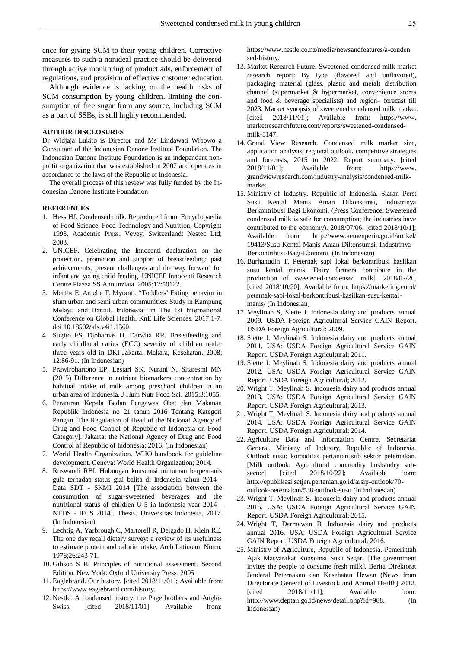ence for giving SCM to their young children. Corrective measures to such a nonideal practice should be delivered through active monitoring of product ads, enforcement of regulations, and provision of effective customer education.

Although evidence is lacking on the health risks of SCM consumption by young children, limiting the consumption of free sugar from any source, including SCM as a part of SSBs, is still highly recommended.

#### **AUTHOR DISCLOSURES**

Dr Widjaja Lukito is Director and Ms Lindawati Wibowo a Consultant of the Indonesian Danone Institute Foundation. The Indonesian Danone Institute Foundation is an independent nonprofit organization that was established in 2007 and operates in accordance to the laws of the Republic of Indonesia.

The overall process of this review was fully funded by the Indonesian Danone Institute Foundation

#### **REFERENCES**

- 1. Hess HJ. Condensed milk. Reproduced from: Encyclopaedia of Food Science, Food Technology and Nutrition, Copyright 1993, Academic Press. Vevey, Switzerland: Nestec Ltd; 2003.
- 2. UNICEF. Celebrating the Innocenti declaration on the protection, promotion and support of breastfeeding: past achievements, present challenges and the way forward for infant and young child feeding. UNICEF Innocenti Research Centre Piazza SS Annunziata. 2005;12:50122.
- 3. Martha E, Amelia T, Myranti. "Toddlers' Eating behavior in slum urban and semi urban communities: Study in Kampung Melayu and Bantul, Indonesia" in The 1st International Conference on Global Health, KnE Life Sciences. 2017;1-7. doi 10.18502/kls.v4i1.1360
- 4. Sugito FS, Djoharnas H, Darwita RR. Breastfeeding and early childhood caries (ECC) severity of children under three years old in DKI Jakarta. Makara, Kesehatan. 2008; 12:86-91. (In Indonesian)
- 5. Prawirohartono EP, Lestari SK, Nurani N, Sitaresmi MN (2015) Difference in nutrient biomarkers concentration by habitual intake of milk among preschool children in an urban area of Indonesia. J Hum Nutr Food Sci. 2015;3:1055.
- 6. Peraturan Kepala Badan Pengawas Obat dan Makanan Republik Indonesia no 21 tahun 2016 Tentang Kategori Pangan [The Regulation of Head of the National Agency of Drug and Food Control of Republic of Indonesia on Food Category]. Jakarta: the National Agency of Drug and Food Control of Republic of Indonesia; 2016. (In Indonesian)
- 7. World Health Organization. WHO handbook for guideline development. Geneva: World Health Organization; 2014.
- 8. Ruswandi RBI. Hubungan konsumsi minuman berpemanis gula terhadap status gizi balita di Indonesia tahun 2014 - Data SDT - SKMI 2014 [The association between the consumption of sugar-sweetened beverages and the nutritional status of children U-5 in Indonesia year 2014 - NTDS - IFCS 2014]. Thesis. Universitas Indonesia. 2017. (In Indonesian)
- 9. Lechtig A, Yarbrough C, Martorell R, Delgado H, Klein RE. The one day recall dietary survey: a review of its usefulness to estimate protein and calorie intake. Arch Latinoam Nutrn. 1976;26:243-71.
- 10. Gibson S R. Principles of nutritional assessment. Second Edition. New York: Oxford University Press: 2005
- 11. Eaglebrand. Our history. [cited 2018/11/01]; Available from: https://www.eaglebrand.com/history.
- 12. Nestle. A condensed history: the Page brothers and Anglo-Swiss. [cited 2018/11/01]; Available from:

https://www.nestle.co.nz/media/newsandfeatures/a-conden sed-history.

- 13. Market Research Future. Sweetened condensed milk market research report: By type (flavored and unflavored), packaging material (glass, plastic and metal) distribution channel (supermarket & hypermarket, convenience stores and food & beverage specialists) and region– forecast till 2023. Market synopsis of sweetened condensed milk market. [cited 2018/11/01]; Available from: https://www. marketresearchfuture.com/reports/sweetened-condensedmilk-5147.
- 14. Grand View Research. Condensed milk market size, application analysis, regional outlook, competitive strategies and forecasts, 2015 to 2022. Report summary. [cited 2018/11/01]; Available from: https://www. grandviewresearch.com/industry-analysis/condensed-milkmarket.
- 15. Ministry of Industry, Republic of Indonesia. Siaran Pers: Susu Kental Manis Aman Dikonsumsi, Industrinya Berkontribusi Bagi Ekonomi. (Press Conference: Sweetened condensed milk is safe for consumption; the industries have contributed to the economy). 2018/07/06. [cited 2018/10/1]; Available from: http://www.kemenperin.go.id/artikel/ 19413/Susu-Kental-Manis-Aman-Dikonsumsi,-Industrinya-Berkontribusi-Bagi-Ekonomi. (In Indonesian)
- 16. Burhanudin T. Peternak sapi lokal berkontribusi hasilkan susu kental manis [Dairy farmers contribute in the production of sweetened-condensed milk]. 2018/07/20. [cited 2018/10/20]; Available from: https://marketing.co.id/ peternak-sapi-lokal-berkontribusi-hasilkan-susu-kentalmanis/ (In Indonesian)
- 17. Meylinah S, Slette J. Indonesia dairy and products annual 2009. USDA Foreign Agricultural Service GAIN Report. USDA Foreign Agricultural; 2009.
- 18. Slette J, Meylinah S. Indonesia dairy and products annual 2011. USA: USDA Foreign Agricultural Service GAIN Report. USDA Foreign Agricultural; 2011.
- 19. Slette J, Meylinah S. Indonesia dairy and products annual 2012. USA: USDA Foreign Agricultural Service GAIN Report. USDA Foreign Agricultural; 2012.
- 20. Wright T, Meylinah S. Indonesia dairy and products annual 2013. USA: USDA Foreign Agricultural Service GAIN Report. USDA Foreign Agricultural; 2013.
- 21. Wright T, Meylinah S. Indonesia dairy and products annual 2014. USA: USDA Foreign Agricultural Service GAIN Report. USDA Foreign Agricultural; 2014.
- 22. Agriculture Data and Information Centre, Secretariat General, Ministry of Industry, Republic of Indonesia. Outlook susu: komoditas pertanian sub sektor peternakan. [Milk outlook: Agricultural commodity husbandry subsector] [cited 2018/10/22]; Available from: http://epublikasi.setjen.pertanian.go.id/arsip-outlook/70 outlook-peternakan/538-outlook-susu (In Indonesian)
- 23. Wright T, Meylinah S. Indonesia dairy and products annual 2015. USA: USDA Foreign Agricultural Service GAIN Report. USDA Foreign Agricultural; 2015.
- 24. Wright T, Darmawan B. Indonesia dairy and products annual 2016. USA: USDA Foreign Agricultural Service GAIN Report. USDA Foreign Agricultural; 2016.
- 25. Ministry of Agriculture, Republic of Indonesia. Pemerintah Ajak Masyarakat Konsumsi Susu Segar. [The government invites the people to consume fresh milk]. Berita Direktorat Jenderal Peternakan dan Kesehatan Hewan (News from Directorate General of Livestock and Animal Health) 2012.  $[cited \t 2018/11/11];$  Available from: http://www.deptan.go.id/news/detail.php?id=988. (In Indonesian)